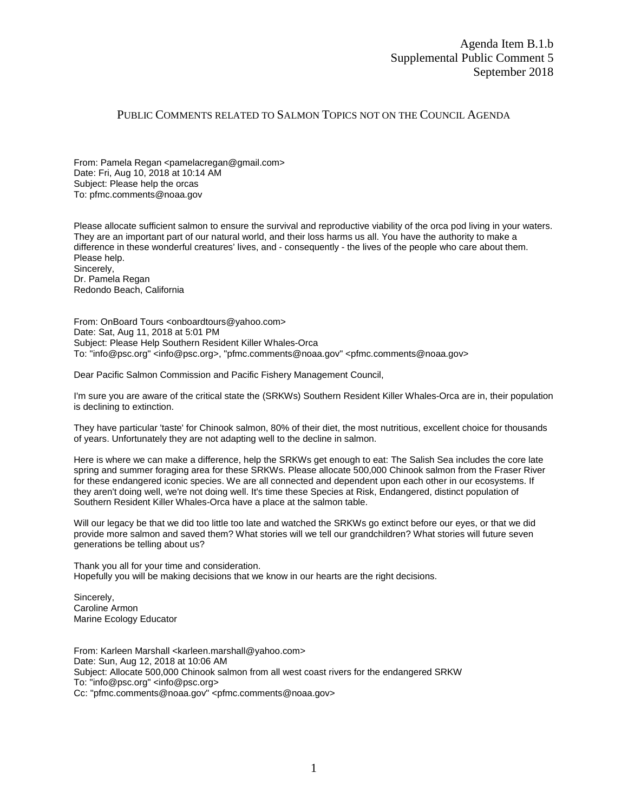## PUBLIC COMMENTS RELATED TO SALMON TOPICS NOT ON THE COUNCIL AGENDA

From: Pamela Regan <pamelacregan@gmail.com> Date: Fri, Aug 10, 2018 at 10:14 AM Subject: Please help the orcas To: pfmc.comments@noaa.gov

Please allocate sufficient salmon to ensure the survival and reproductive viability of the orca pod living in your waters. They are an important part of our natural world, and their loss harms us all. You have the authority to make a difference in these wonderful creatures' lives, and - consequently - the lives of the people who care about them. Please help. Sincerely,

Dr. Pamela Regan Redondo Beach, California

From: OnBoard Tours <onboardtours@yahoo.com> Date: Sat, Aug 11, 2018 at 5:01 PM Subject: Please Help Southern Resident Killer Whales-Orca To: "info@psc.org" <info@psc.org>, "pfmc.comments@noaa.gov" <pfmc.comments@noaa.gov>

Dear Pacific Salmon Commission and Pacific Fishery Management Council,

I'm sure you are aware of the critical state the (SRKWs) Southern Resident Killer Whales-Orca are in, their population is declining to extinction.

They have particular 'taste' for Chinook salmon, 80% of their diet, the most nutritious, excellent choice for thousands of years. Unfortunately they are not adapting well to the decline in salmon.

Here is where we can make a difference, help the SRKWs get enough to eat: The Salish Sea includes the core late spring and summer foraging area for these SRKWs. Please allocate 500,000 Chinook salmon from the Fraser River for these endangered iconic species. We are all connected and dependent upon each other in our ecosystems. If they aren't doing well, we're not doing well. It's time these Species at Risk, Endangered, distinct population of Southern Resident Killer Whales-Orca have a place at the salmon table.

Will our legacy be that we did too little too late and watched the SRKWs go extinct before our eyes, or that we did provide more salmon and saved them? What stories will we tell our grandchildren? What stories will future seven generations be telling about us?

Thank you all for your time and consideration. Hopefully you will be making decisions that we know in our hearts are the right decisions.

Sincerely, Caroline Armon Marine Ecology Educator

From: Karleen Marshall <karleen.marshall@yahoo.com> Date: Sun, Aug 12, 2018 at 10:06 AM Subject: Allocate 500,000 Chinook salmon from all west coast rivers for the endangered SRKW To: "info@psc.org" <info@psc.org> Cc: "pfmc.comments@noaa.gov" <pfmc.comments@noaa.gov>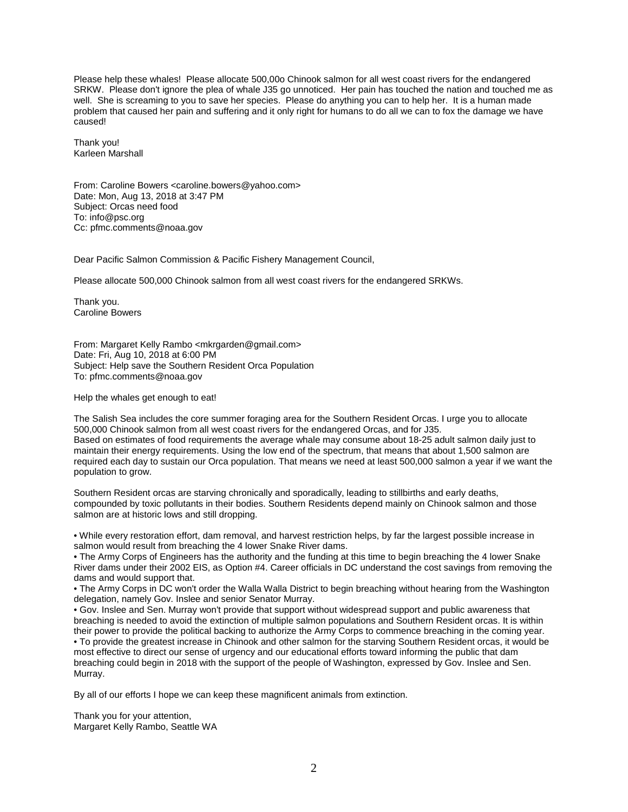Please help these whales! Please allocate 500,00o Chinook salmon for all west coast rivers for the endangered SRKW. Please don't ignore the plea of whale J35 go unnoticed. Her pain has touched the nation and touched me as well. She is screaming to you to save her species. Please do anything you can to help her. It is a human made problem that caused her pain and suffering and it only right for humans to do all we can to fox the damage we have caused!

Thank you! Karleen Marshall

From: Caroline Bowers <caroline.bowers@yahoo.com> Date: Mon, Aug 13, 2018 at 3:47 PM Subject: Orcas need food To: info@psc.org Cc: pfmc.comments@noaa.gov

Dear Pacific Salmon Commission & Pacific Fishery Management Council,

Please allocate 500,000 Chinook salmon from all west coast rivers for the endangered SRKWs.

Thank you. Caroline Bowers

From: Margaret Kelly Rambo <mkrgarden@gmail.com> Date: Fri, Aug 10, 2018 at 6:00 PM Subject: Help save the Southern Resident Orca Population To: pfmc.comments@noaa.gov

Help the whales get enough to eat!

The Salish Sea includes the core summer foraging area for the Southern Resident Orcas. I urge you to allocate 500,000 Chinook salmon from all west coast rivers for the endangered Orcas, and for J35. Based on estimates of food requirements the average whale may consume about 18-25 adult salmon daily just to maintain their energy requirements. Using the low end of the spectrum, that means that about 1,500 salmon are required each day to sustain our Orca population. That means we need at least 500,000 salmon a year if we want the population to grow.

Southern Resident orcas are starving chronically and sporadically, leading to stillbirths and early deaths, compounded by toxic pollutants in their bodies. Southern Residents depend mainly on Chinook salmon and those salmon are at historic lows and still dropping.

• While every restoration effort, dam removal, and harvest restriction helps, by far the largest possible increase in salmon would result from breaching the 4 lower Snake River dams.

• The Army Corps of Engineers has the authority and the funding at this time to begin breaching the 4 lower Snake River dams under their 2002 EIS, as Option #4. Career officials in DC understand the cost savings from removing the dams and would support that.

• The Army Corps in DC won't order the Walla Walla District to begin breaching without hearing from the Washington delegation, namely Gov. Inslee and senior Senator Murray.

• Gov. Inslee and Sen. Murray won't provide that support without widespread support and public awareness that breaching is needed to avoid the extinction of multiple salmon populations and Southern Resident orcas. It is within their power to provide the political backing to authorize the Army Corps to commence breaching in the coming year. • To provide the greatest increase in Chinook and other salmon for the starving Southern Resident orcas, it would be most effective to direct our sense of urgency and our educational efforts toward informing the public that dam breaching could begin in 2018 with the support of the people of Washington, expressed by Gov. Inslee and Sen. Murray.

By all of our efforts I hope we can keep these magnificent animals from extinction.

Thank you for your attention, Margaret Kelly Rambo, Seattle WA